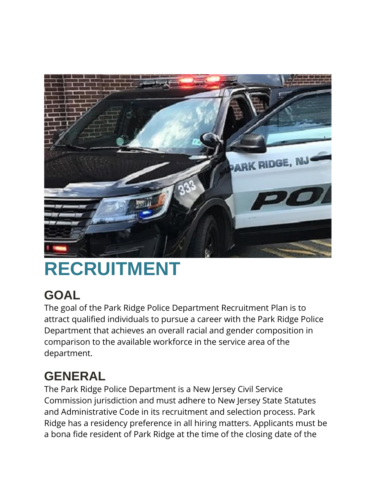

## **RECRUITMENT**

## **GOAL**

The goal of the Park Ridge Police Department Recruitment Plan is to attract qualified individuals to pursue a career with the Park Ridge Police Department that achieves an overall racial and gender composition in comparison to the available workforce in the service area of the department.

## **GENERAL**

The Park Ridge Police Department is a New Jersey Civil Service Commission jurisdiction and must adhere to New Jersey State Statutes and Administrative Code in its recruitment and selection process. Park Ridge has a residency preference in all hiring matters. Applicants must be a bona fide resident of Park Ridge at the time of the closing date of the